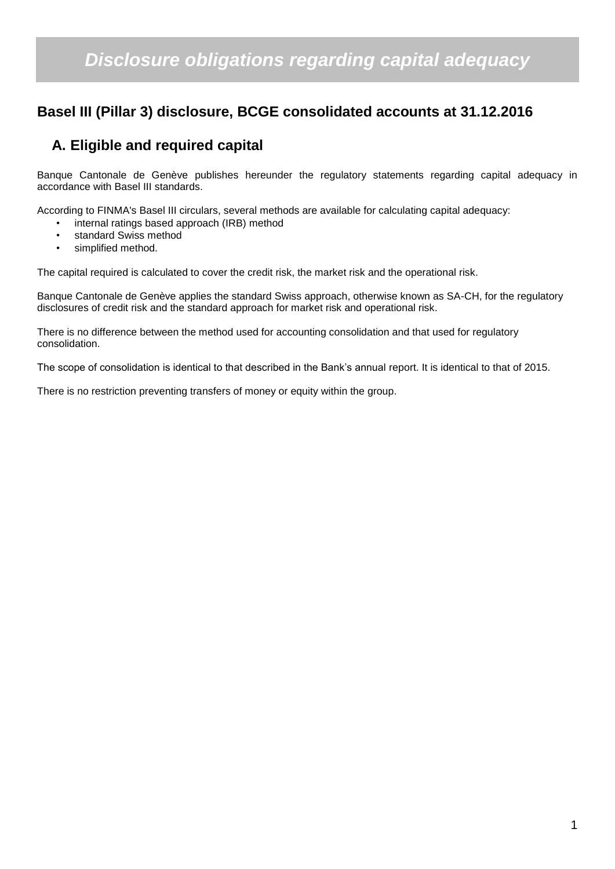# *Disclosure obligations regarding capital adequacy*

### **Basel III (Pillar 3) disclosure, BCGE consolidated accounts at 31.12.2016**

## **A. Eligible and required capital**

Banque Cantonale de Genève publishes hereunder the regulatory statements regarding capital adequacy in accordance with Basel III standards.

According to FINMA's Basel III circulars, several methods are available for calculating capital adequacy:

- internal ratings based approach (IRB) method
- standard Swiss method
- simplified method.

The capital required is calculated to cover the credit risk, the market risk and the operational risk.

Banque Cantonale de Genève applies the standard Swiss approach, otherwise known as SA-CH, for the regulatory disclosures of credit risk and the standard approach for market risk and operational risk.

There is no difference between the method used for accounting consolidation and that used for regulatory consolidation.

The scope of consolidation is identical to that described in the Bank's annual report. It is identical to that of 2015.

There is no restriction preventing transfers of money or equity within the group.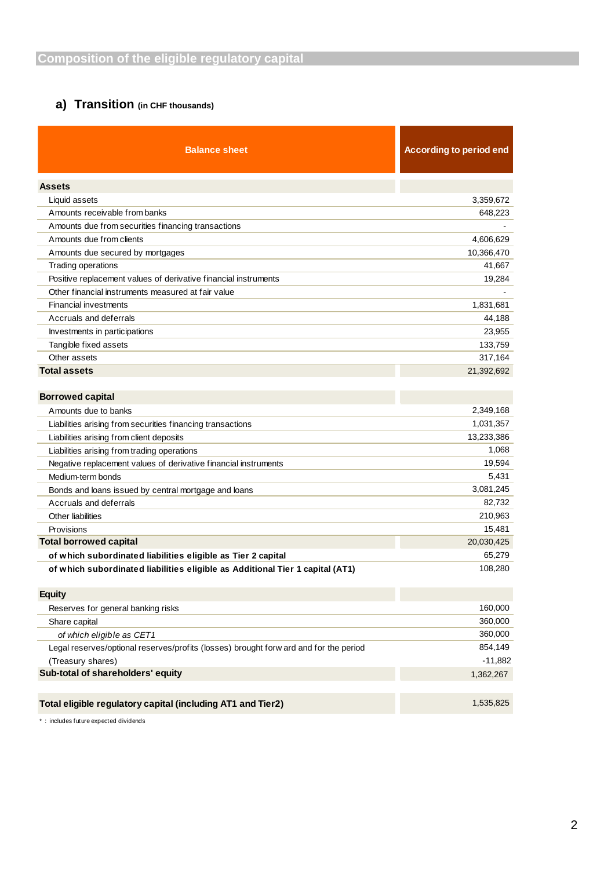### **a) Transition (in CHF thousands)**

| <b>Balance sheet</b>                                                                  | <b>According to period end</b> |
|---------------------------------------------------------------------------------------|--------------------------------|
| <b>Assets</b>                                                                         |                                |
| Liquid assets                                                                         | 3,359,672                      |
| Amounts receivable from banks                                                         | 648,223                        |
| Amounts due from securities financing transactions                                    |                                |
| Amounts due from clients                                                              | 4,606,629                      |
| Amounts due secured by mortgages                                                      | 10,366,470                     |
| Trading operations                                                                    | 41,667                         |
| Positive replacement values of derivative financial instruments                       | 19,284                         |
| Other financial instruments measured at fair value                                    |                                |
| <b>Financial investments</b>                                                          | 1,831,681                      |
| Accruals and deferrals                                                                | 44,188                         |
| Investments in participations                                                         | 23,955                         |
| Tangible fixed assets                                                                 | 133,759                        |
| Other assets                                                                          | 317,164                        |
| <b>Total assets</b>                                                                   | 21,392,692                     |
| <b>Borrowed capital</b>                                                               |                                |
| Amounts due to banks                                                                  | 2,349,168                      |
| Liabilities arising from securities financing transactions                            | 1,031,357                      |
| Liabilities arising from client deposits                                              | 13,233,386                     |
| Liabilities arising from trading operations                                           | 1,068                          |
| Negative replacement values of derivative financial instruments                       | 19,594                         |
| Medium-term bonds                                                                     | 5,431                          |
| Bonds and loans issued by central mortgage and loans                                  | 3,081,245                      |
| Accruals and deferrals                                                                | 82,732                         |
| <b>Other liabilities</b>                                                              | 210,963                        |
| Provisions                                                                            | 15,481                         |
| <b>Total borrowed capital</b>                                                         | 20,030,425                     |
| of which subordinated liabilities eligible as Tier 2 capital                          | 65,279                         |
| of which subordinated liabilities eligible as Additional Tier 1 capital (AT1)         | 108,280                        |
| <b>Equity</b>                                                                         |                                |
| Reserves for general banking risks                                                    | 160,000                        |
| Share capital                                                                         | 360,000                        |
| of which eligible as CET1                                                             | 360,000                        |
| Legal reserves/optional reserves/profits (losses) brought forw ard and for the period | 854,149                        |
| (Treasury shares)                                                                     | $-11,882$                      |
| Sub-total of shareholders' equity                                                     | 1,362,267                      |
| Total eligible regulatory capital (including AT1 and Tier2)                           | 1,535,825                      |

\* : includes future expected dividends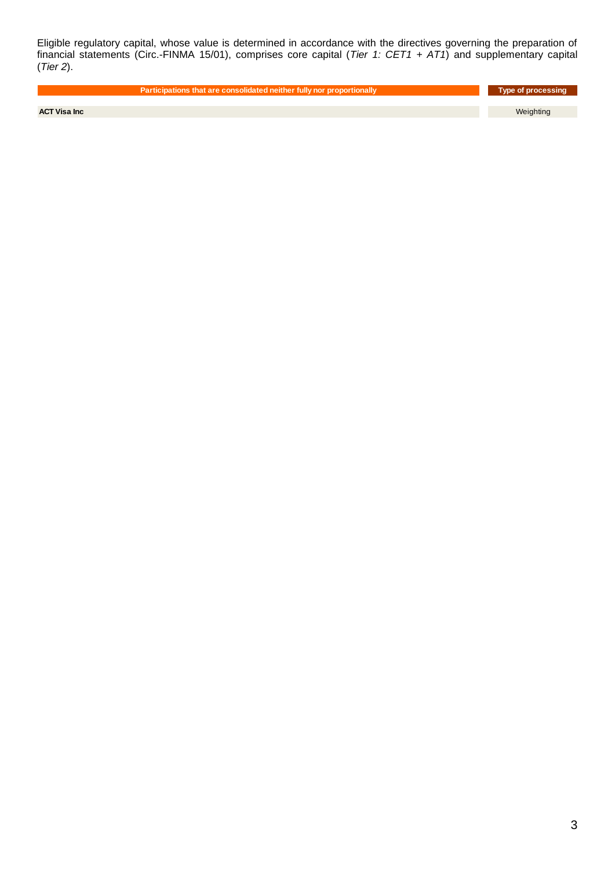Eligible regulatory capital, whose value is determined in accordance with the directives governing the preparation of financial statements (Circ.-FINMA 15/01), comprises core capital (*Tier 1: CET1 + AT1*) and supplementary capital (*Tier 2*).

**Participations that are consolidated neither fully nor proportionally and are also also also also processing** 

**ACT Visa Inc** Weighting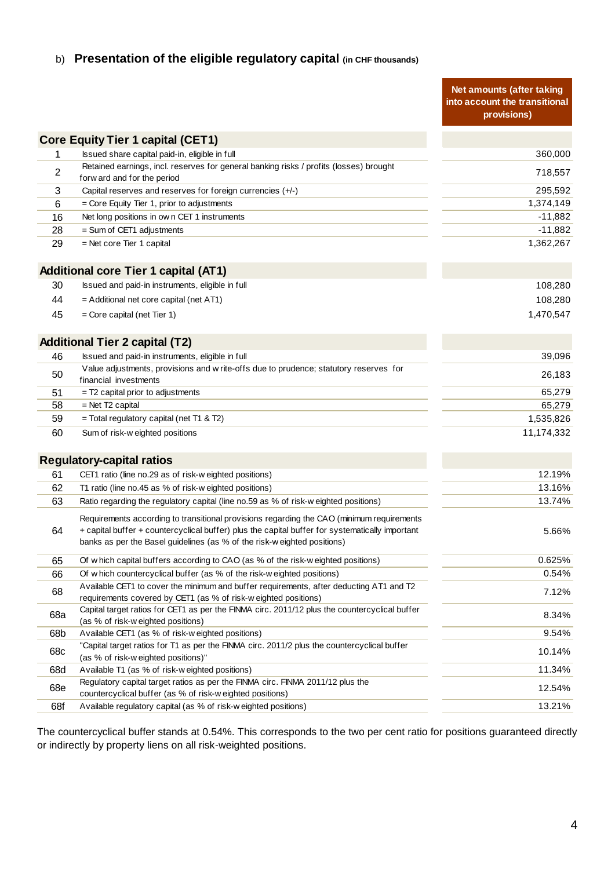### b) **Presentation of the eligible regulatory capital (in CHF thousands)**

| <b>Core Equity Tier 1 capital (CET1)</b><br>360,000<br>Issued share capital paid-in, eligible in full<br>1<br>Retained earnings, incl. reserves for general banking risks / profits (losses) brought<br>2<br>718,557<br>forw ard and for the period<br>295,592<br>3<br>Capital reserves and reserves for foreign currencies (+/-)<br>1,374,149<br>6<br>$=$ Core Equity Tier 1, prior to adjustments<br>16<br>Net long positions in own CET 1 instruments<br>$-11,882$<br>28<br>$=$ Sum of CET1 adjustments<br>-11,882<br>1,362,267<br>29<br>$=$ Net core Tier 1 capital<br><b>Additional core Tier 1 capital (AT1)</b><br>Issued and paid-in instruments, eligible in full<br>30<br>108,280<br>44<br>= Additional net core capital (net AT1)<br>108,280<br>1,470,547<br>45<br>$=$ Core capital (net Tier 1)<br><b>Additional Tier 2 capital (T2)</b><br>46<br>Issued and paid-in instruments, eligible in full<br>39,096<br>Value adjustments, provisions and w rite-offs due to prudence; statutory reserves for<br>50<br>26,183<br>financial investments<br>65,279<br>51<br>$=$ T2 capital prior to adjustments<br>58<br>$=$ Net T2 capital<br>65,279<br>59<br>= Total regulatory capital (net T1 & T2)<br>1,535,826<br>11,174,332<br>60<br>Sum of risk-w eighted positions<br><b>Regulatory-capital ratios</b><br>12.19%<br>61<br>CET1 ratio (line no.29 as of risk-w eighted positions)<br>13.16%<br>62<br>T1 ratio (line no.45 as % of risk-w eighted positions)<br>13.74%<br>63<br>Ratio regarding the regulatory capital (line no.59 as % of risk-w eighted positions)<br>Requirements according to transitional provisions regarding the CAO (minimum requirements<br>64<br>+ capital buffer + countercyclical buffer) plus the capital buffer for systematically important<br>5.66%<br>banks as per the Basel guidelines (as % of the risk-w eighted positions)<br>0.625%<br>65<br>Of w hich capital buffers according to CAO (as % of the risk-w eighted positions)<br>66<br>0.54%<br>Of which countercyclical buffer (as % of the risk-weighted positions)<br>Available CET1 to cover the minimum and buffer requirements, after deducting AT1 and T2<br>68<br>7.12%<br>requirements covered by CET1 (as % of risk-w eighted positions)<br>Capital target ratios for CET1 as per the FINMA circ. 2011/12 plus the countercyclical buffer<br>68a<br>8.34%<br>(as % of risk-w eighted positions)<br>Available CET1 (as % of risk-w eighted positions)<br>9.54%<br>68b<br>"Capital target ratios for T1 as per the FINMA circ. 2011/2 plus the countercyclical buffer<br>68c<br>10.14%<br>(as % of risk-weighted positions)"<br>11.34%<br>Available T1 (as % of risk-w eighted positions)<br>68d<br>Regulatory capital target ratios as per the FINMA circ. FINMA 2011/12 plus the<br>68e<br>12.54%<br>countercyclical buffer (as % of risk-w eighted positions)<br>13.21%<br>68f<br>Available regulatory capital (as % of risk-w eighted positions) |  | Net amounts (after taking<br>into account the transitional<br>provisions) |
|--------------------------------------------------------------------------------------------------------------------------------------------------------------------------------------------------------------------------------------------------------------------------------------------------------------------------------------------------------------------------------------------------------------------------------------------------------------------------------------------------------------------------------------------------------------------------------------------------------------------------------------------------------------------------------------------------------------------------------------------------------------------------------------------------------------------------------------------------------------------------------------------------------------------------------------------------------------------------------------------------------------------------------------------------------------------------------------------------------------------------------------------------------------------------------------------------------------------------------------------------------------------------------------------------------------------------------------------------------------------------------------------------------------------------------------------------------------------------------------------------------------------------------------------------------------------------------------------------------------------------------------------------------------------------------------------------------------------------------------------------------------------------------------------------------------------------------------------------------------------------------------------------------------------------------------------------------------------------------------------------------------------------------------------------------------------------------------------------------------------------------------------------------------------------------------------------------------------------------------------------------------------------------------------------------------------------------------------------------------------------------------------------------------------------------------------------------------------------------------------------------------------------------------------------------------------------------------------------------------------------------------------------------------------------------------------------------------------------------------------------------------------------------------------------------------------------------------------------------------------------------------------------------------------------------------------------------------|--|---------------------------------------------------------------------------|
|                                                                                                                                                                                                                                                                                                                                                                                                                                                                                                                                                                                                                                                                                                                                                                                                                                                                                                                                                                                                                                                                                                                                                                                                                                                                                                                                                                                                                                                                                                                                                                                                                                                                                                                                                                                                                                                                                                                                                                                                                                                                                                                                                                                                                                                                                                                                                                                                                                                                                                                                                                                                                                                                                                                                                                                                                                                                                                                                                              |  |                                                                           |
|                                                                                                                                                                                                                                                                                                                                                                                                                                                                                                                                                                                                                                                                                                                                                                                                                                                                                                                                                                                                                                                                                                                                                                                                                                                                                                                                                                                                                                                                                                                                                                                                                                                                                                                                                                                                                                                                                                                                                                                                                                                                                                                                                                                                                                                                                                                                                                                                                                                                                                                                                                                                                                                                                                                                                                                                                                                                                                                                                              |  |                                                                           |
|                                                                                                                                                                                                                                                                                                                                                                                                                                                                                                                                                                                                                                                                                                                                                                                                                                                                                                                                                                                                                                                                                                                                                                                                                                                                                                                                                                                                                                                                                                                                                                                                                                                                                                                                                                                                                                                                                                                                                                                                                                                                                                                                                                                                                                                                                                                                                                                                                                                                                                                                                                                                                                                                                                                                                                                                                                                                                                                                                              |  |                                                                           |
|                                                                                                                                                                                                                                                                                                                                                                                                                                                                                                                                                                                                                                                                                                                                                                                                                                                                                                                                                                                                                                                                                                                                                                                                                                                                                                                                                                                                                                                                                                                                                                                                                                                                                                                                                                                                                                                                                                                                                                                                                                                                                                                                                                                                                                                                                                                                                                                                                                                                                                                                                                                                                                                                                                                                                                                                                                                                                                                                                              |  |                                                                           |
|                                                                                                                                                                                                                                                                                                                                                                                                                                                                                                                                                                                                                                                                                                                                                                                                                                                                                                                                                                                                                                                                                                                                                                                                                                                                                                                                                                                                                                                                                                                                                                                                                                                                                                                                                                                                                                                                                                                                                                                                                                                                                                                                                                                                                                                                                                                                                                                                                                                                                                                                                                                                                                                                                                                                                                                                                                                                                                                                                              |  |                                                                           |
|                                                                                                                                                                                                                                                                                                                                                                                                                                                                                                                                                                                                                                                                                                                                                                                                                                                                                                                                                                                                                                                                                                                                                                                                                                                                                                                                                                                                                                                                                                                                                                                                                                                                                                                                                                                                                                                                                                                                                                                                                                                                                                                                                                                                                                                                                                                                                                                                                                                                                                                                                                                                                                                                                                                                                                                                                                                                                                                                                              |  |                                                                           |
|                                                                                                                                                                                                                                                                                                                                                                                                                                                                                                                                                                                                                                                                                                                                                                                                                                                                                                                                                                                                                                                                                                                                                                                                                                                                                                                                                                                                                                                                                                                                                                                                                                                                                                                                                                                                                                                                                                                                                                                                                                                                                                                                                                                                                                                                                                                                                                                                                                                                                                                                                                                                                                                                                                                                                                                                                                                                                                                                                              |  |                                                                           |
|                                                                                                                                                                                                                                                                                                                                                                                                                                                                                                                                                                                                                                                                                                                                                                                                                                                                                                                                                                                                                                                                                                                                                                                                                                                                                                                                                                                                                                                                                                                                                                                                                                                                                                                                                                                                                                                                                                                                                                                                                                                                                                                                                                                                                                                                                                                                                                                                                                                                                                                                                                                                                                                                                                                                                                                                                                                                                                                                                              |  |                                                                           |
|                                                                                                                                                                                                                                                                                                                                                                                                                                                                                                                                                                                                                                                                                                                                                                                                                                                                                                                                                                                                                                                                                                                                                                                                                                                                                                                                                                                                                                                                                                                                                                                                                                                                                                                                                                                                                                                                                                                                                                                                                                                                                                                                                                                                                                                                                                                                                                                                                                                                                                                                                                                                                                                                                                                                                                                                                                                                                                                                                              |  |                                                                           |
|                                                                                                                                                                                                                                                                                                                                                                                                                                                                                                                                                                                                                                                                                                                                                                                                                                                                                                                                                                                                                                                                                                                                                                                                                                                                                                                                                                                                                                                                                                                                                                                                                                                                                                                                                                                                                                                                                                                                                                                                                                                                                                                                                                                                                                                                                                                                                                                                                                                                                                                                                                                                                                                                                                                                                                                                                                                                                                                                                              |  |                                                                           |
|                                                                                                                                                                                                                                                                                                                                                                                                                                                                                                                                                                                                                                                                                                                                                                                                                                                                                                                                                                                                                                                                                                                                                                                                                                                                                                                                                                                                                                                                                                                                                                                                                                                                                                                                                                                                                                                                                                                                                                                                                                                                                                                                                                                                                                                                                                                                                                                                                                                                                                                                                                                                                                                                                                                                                                                                                                                                                                                                                              |  |                                                                           |
|                                                                                                                                                                                                                                                                                                                                                                                                                                                                                                                                                                                                                                                                                                                                                                                                                                                                                                                                                                                                                                                                                                                                                                                                                                                                                                                                                                                                                                                                                                                                                                                                                                                                                                                                                                                                                                                                                                                                                                                                                                                                                                                                                                                                                                                                                                                                                                                                                                                                                                                                                                                                                                                                                                                                                                                                                                                                                                                                                              |  |                                                                           |
|                                                                                                                                                                                                                                                                                                                                                                                                                                                                                                                                                                                                                                                                                                                                                                                                                                                                                                                                                                                                                                                                                                                                                                                                                                                                                                                                                                                                                                                                                                                                                                                                                                                                                                                                                                                                                                                                                                                                                                                                                                                                                                                                                                                                                                                                                                                                                                                                                                                                                                                                                                                                                                                                                                                                                                                                                                                                                                                                                              |  |                                                                           |
|                                                                                                                                                                                                                                                                                                                                                                                                                                                                                                                                                                                                                                                                                                                                                                                                                                                                                                                                                                                                                                                                                                                                                                                                                                                                                                                                                                                                                                                                                                                                                                                                                                                                                                                                                                                                                                                                                                                                                                                                                                                                                                                                                                                                                                                                                                                                                                                                                                                                                                                                                                                                                                                                                                                                                                                                                                                                                                                                                              |  |                                                                           |
|                                                                                                                                                                                                                                                                                                                                                                                                                                                                                                                                                                                                                                                                                                                                                                                                                                                                                                                                                                                                                                                                                                                                                                                                                                                                                                                                                                                                                                                                                                                                                                                                                                                                                                                                                                                                                                                                                                                                                                                                                                                                                                                                                                                                                                                                                                                                                                                                                                                                                                                                                                                                                                                                                                                                                                                                                                                                                                                                                              |  |                                                                           |
|                                                                                                                                                                                                                                                                                                                                                                                                                                                                                                                                                                                                                                                                                                                                                                                                                                                                                                                                                                                                                                                                                                                                                                                                                                                                                                                                                                                                                                                                                                                                                                                                                                                                                                                                                                                                                                                                                                                                                                                                                                                                                                                                                                                                                                                                                                                                                                                                                                                                                                                                                                                                                                                                                                                                                                                                                                                                                                                                                              |  |                                                                           |
|                                                                                                                                                                                                                                                                                                                                                                                                                                                                                                                                                                                                                                                                                                                                                                                                                                                                                                                                                                                                                                                                                                                                                                                                                                                                                                                                                                                                                                                                                                                                                                                                                                                                                                                                                                                                                                                                                                                                                                                                                                                                                                                                                                                                                                                                                                                                                                                                                                                                                                                                                                                                                                                                                                                                                                                                                                                                                                                                                              |  |                                                                           |
|                                                                                                                                                                                                                                                                                                                                                                                                                                                                                                                                                                                                                                                                                                                                                                                                                                                                                                                                                                                                                                                                                                                                                                                                                                                                                                                                                                                                                                                                                                                                                                                                                                                                                                                                                                                                                                                                                                                                                                                                                                                                                                                                                                                                                                                                                                                                                                                                                                                                                                                                                                                                                                                                                                                                                                                                                                                                                                                                                              |  |                                                                           |
|                                                                                                                                                                                                                                                                                                                                                                                                                                                                                                                                                                                                                                                                                                                                                                                                                                                                                                                                                                                                                                                                                                                                                                                                                                                                                                                                                                                                                                                                                                                                                                                                                                                                                                                                                                                                                                                                                                                                                                                                                                                                                                                                                                                                                                                                                                                                                                                                                                                                                                                                                                                                                                                                                                                                                                                                                                                                                                                                                              |  |                                                                           |
|                                                                                                                                                                                                                                                                                                                                                                                                                                                                                                                                                                                                                                                                                                                                                                                                                                                                                                                                                                                                                                                                                                                                                                                                                                                                                                                                                                                                                                                                                                                                                                                                                                                                                                                                                                                                                                                                                                                                                                                                                                                                                                                                                                                                                                                                                                                                                                                                                                                                                                                                                                                                                                                                                                                                                                                                                                                                                                                                                              |  |                                                                           |
|                                                                                                                                                                                                                                                                                                                                                                                                                                                                                                                                                                                                                                                                                                                                                                                                                                                                                                                                                                                                                                                                                                                                                                                                                                                                                                                                                                                                                                                                                                                                                                                                                                                                                                                                                                                                                                                                                                                                                                                                                                                                                                                                                                                                                                                                                                                                                                                                                                                                                                                                                                                                                                                                                                                                                                                                                                                                                                                                                              |  |                                                                           |
|                                                                                                                                                                                                                                                                                                                                                                                                                                                                                                                                                                                                                                                                                                                                                                                                                                                                                                                                                                                                                                                                                                                                                                                                                                                                                                                                                                                                                                                                                                                                                                                                                                                                                                                                                                                                                                                                                                                                                                                                                                                                                                                                                                                                                                                                                                                                                                                                                                                                                                                                                                                                                                                                                                                                                                                                                                                                                                                                                              |  |                                                                           |
|                                                                                                                                                                                                                                                                                                                                                                                                                                                                                                                                                                                                                                                                                                                                                                                                                                                                                                                                                                                                                                                                                                                                                                                                                                                                                                                                                                                                                                                                                                                                                                                                                                                                                                                                                                                                                                                                                                                                                                                                                                                                                                                                                                                                                                                                                                                                                                                                                                                                                                                                                                                                                                                                                                                                                                                                                                                                                                                                                              |  |                                                                           |
|                                                                                                                                                                                                                                                                                                                                                                                                                                                                                                                                                                                                                                                                                                                                                                                                                                                                                                                                                                                                                                                                                                                                                                                                                                                                                                                                                                                                                                                                                                                                                                                                                                                                                                                                                                                                                                                                                                                                                                                                                                                                                                                                                                                                                                                                                                                                                                                                                                                                                                                                                                                                                                                                                                                                                                                                                                                                                                                                                              |  |                                                                           |
|                                                                                                                                                                                                                                                                                                                                                                                                                                                                                                                                                                                                                                                                                                                                                                                                                                                                                                                                                                                                                                                                                                                                                                                                                                                                                                                                                                                                                                                                                                                                                                                                                                                                                                                                                                                                                                                                                                                                                                                                                                                                                                                                                                                                                                                                                                                                                                                                                                                                                                                                                                                                                                                                                                                                                                                                                                                                                                                                                              |  |                                                                           |
|                                                                                                                                                                                                                                                                                                                                                                                                                                                                                                                                                                                                                                                                                                                                                                                                                                                                                                                                                                                                                                                                                                                                                                                                                                                                                                                                                                                                                                                                                                                                                                                                                                                                                                                                                                                                                                                                                                                                                                                                                                                                                                                                                                                                                                                                                                                                                                                                                                                                                                                                                                                                                                                                                                                                                                                                                                                                                                                                                              |  |                                                                           |
|                                                                                                                                                                                                                                                                                                                                                                                                                                                                                                                                                                                                                                                                                                                                                                                                                                                                                                                                                                                                                                                                                                                                                                                                                                                                                                                                                                                                                                                                                                                                                                                                                                                                                                                                                                                                                                                                                                                                                                                                                                                                                                                                                                                                                                                                                                                                                                                                                                                                                                                                                                                                                                                                                                                                                                                                                                                                                                                                                              |  |                                                                           |
|                                                                                                                                                                                                                                                                                                                                                                                                                                                                                                                                                                                                                                                                                                                                                                                                                                                                                                                                                                                                                                                                                                                                                                                                                                                                                                                                                                                                                                                                                                                                                                                                                                                                                                                                                                                                                                                                                                                                                                                                                                                                                                                                                                                                                                                                                                                                                                                                                                                                                                                                                                                                                                                                                                                                                                                                                                                                                                                                                              |  |                                                                           |
|                                                                                                                                                                                                                                                                                                                                                                                                                                                                                                                                                                                                                                                                                                                                                                                                                                                                                                                                                                                                                                                                                                                                                                                                                                                                                                                                                                                                                                                                                                                                                                                                                                                                                                                                                                                                                                                                                                                                                                                                                                                                                                                                                                                                                                                                                                                                                                                                                                                                                                                                                                                                                                                                                                                                                                                                                                                                                                                                                              |  |                                                                           |
|                                                                                                                                                                                                                                                                                                                                                                                                                                                                                                                                                                                                                                                                                                                                                                                                                                                                                                                                                                                                                                                                                                                                                                                                                                                                                                                                                                                                                                                                                                                                                                                                                                                                                                                                                                                                                                                                                                                                                                                                                                                                                                                                                                                                                                                                                                                                                                                                                                                                                                                                                                                                                                                                                                                                                                                                                                                                                                                                                              |  |                                                                           |
|                                                                                                                                                                                                                                                                                                                                                                                                                                                                                                                                                                                                                                                                                                                                                                                                                                                                                                                                                                                                                                                                                                                                                                                                                                                                                                                                                                                                                                                                                                                                                                                                                                                                                                                                                                                                                                                                                                                                                                                                                                                                                                                                                                                                                                                                                                                                                                                                                                                                                                                                                                                                                                                                                                                                                                                                                                                                                                                                                              |  |                                                                           |
|                                                                                                                                                                                                                                                                                                                                                                                                                                                                                                                                                                                                                                                                                                                                                                                                                                                                                                                                                                                                                                                                                                                                                                                                                                                                                                                                                                                                                                                                                                                                                                                                                                                                                                                                                                                                                                                                                                                                                                                                                                                                                                                                                                                                                                                                                                                                                                                                                                                                                                                                                                                                                                                                                                                                                                                                                                                                                                                                                              |  |                                                                           |
|                                                                                                                                                                                                                                                                                                                                                                                                                                                                                                                                                                                                                                                                                                                                                                                                                                                                                                                                                                                                                                                                                                                                                                                                                                                                                                                                                                                                                                                                                                                                                                                                                                                                                                                                                                                                                                                                                                                                                                                                                                                                                                                                                                                                                                                                                                                                                                                                                                                                                                                                                                                                                                                                                                                                                                                                                                                                                                                                                              |  |                                                                           |

The countercyclical buffer stands at 0.54%. This corresponds to the two per cent ratio for positions guaranteed directly or indirectly by property liens on all risk-weighted positions.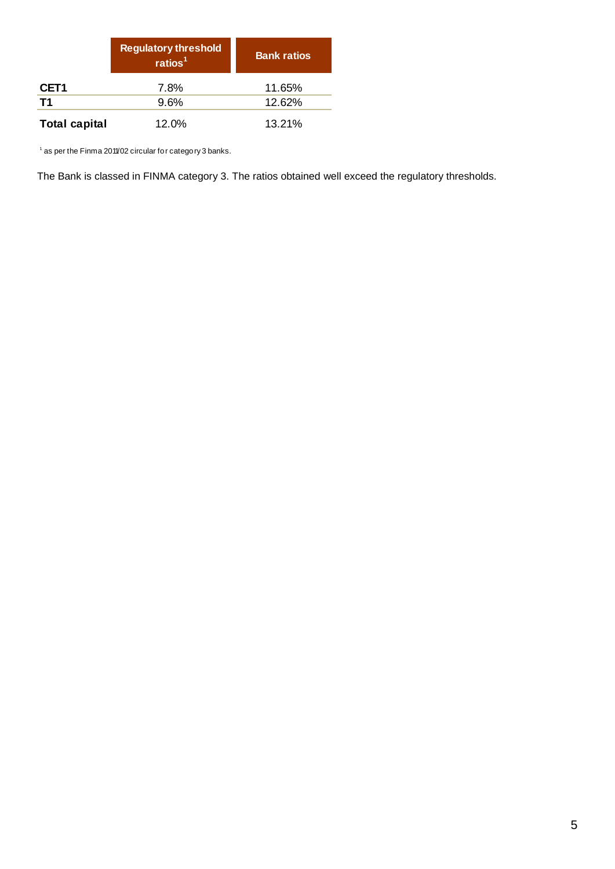|                      | <b>Regulatory threshold</b><br>ratios $1$ | <b>Bank ratios</b> |
|----------------------|-------------------------------------------|--------------------|
| CET <sub>1</sub>     | 7.8%                                      | 11.65%             |
| <b>T1</b>            | 9.6%                                      | 12.62%             |
| <b>Total capital</b> | 12.0%                                     | 13.21%             |

<sup>1</sup> as per the Finma 2011/02 circular for category 3 banks.

The Bank is classed in FINMA category 3. The ratios obtained well exceed the regulatory thresholds.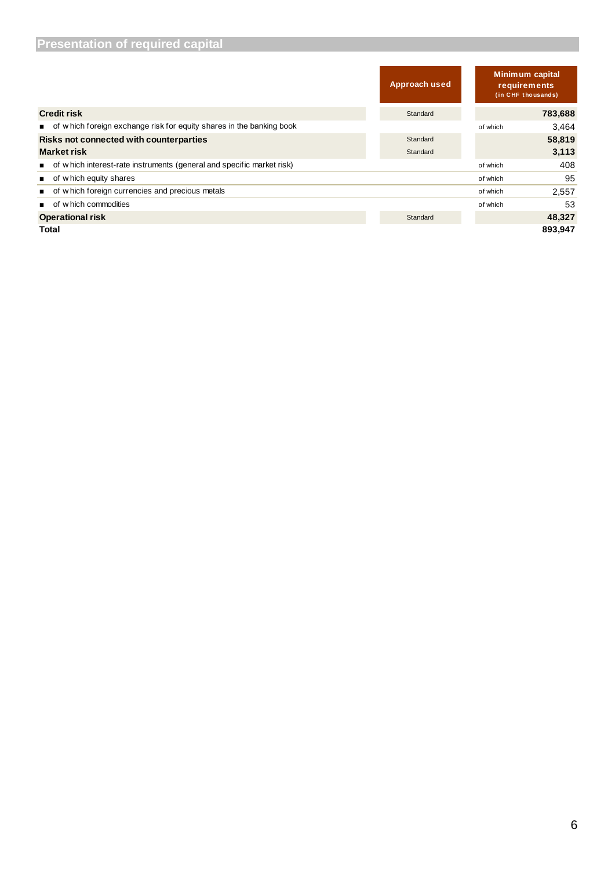| <b>Presentation of required capital</b>                               |               |                                                              |         |
|-----------------------------------------------------------------------|---------------|--------------------------------------------------------------|---------|
|                                                                       | Approach used | <b>Minimum capital</b><br>requirements<br>(in CHF thousands) |         |
| <b>Credit risk</b>                                                    | Standard      |                                                              | 783,688 |
| of which foreign exchange risk for equity shares in the banking book  |               | of which                                                     | 3,464   |
| Risks not connected with counterparties                               | Standard      |                                                              | 58,819  |
| <b>Market risk</b>                                                    | Standard      |                                                              | 3,113   |
| of which interest-rate instruments (general and specific market risk) |               | of which                                                     | 408     |
| of w hich equity shares                                               |               | of which                                                     | 95      |
| of which foreign currencies and precious metals                       |               | of which                                                     | 2,557   |
| of w hich commodities                                                 |               | of which                                                     | 53      |
| <b>Operational risk</b>                                               | Standard      |                                                              | 48,327  |
| Total                                                                 |               |                                                              | 893,947 |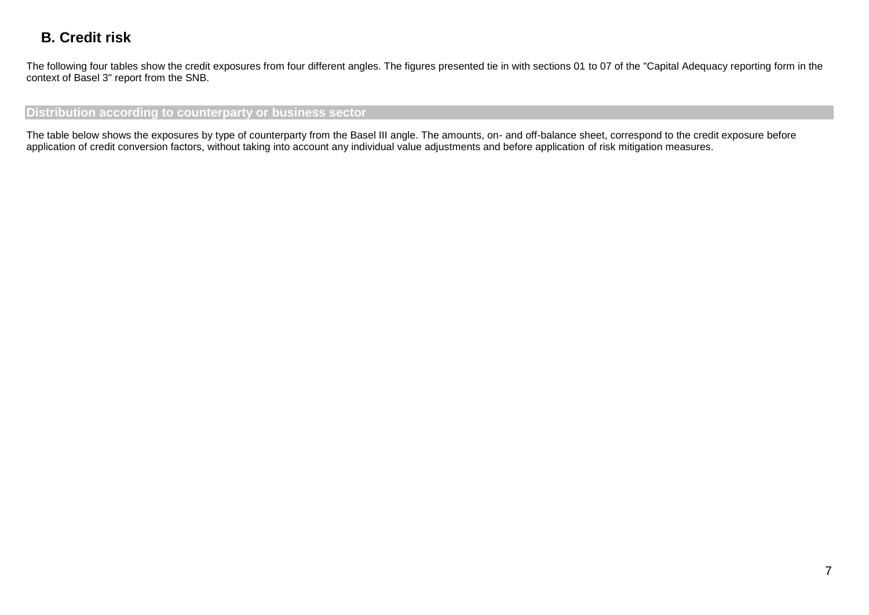## **B. Credit risk**

The following four tables show the credit exposures from four different angles. The figures presented tie in with sections 01 to 07 of the "Capital Adequacy reporting form in the context of Basel 3" report from the SNB.

#### **Distribution according to counterparty or business sector**

The table below shows the exposures by type of counterparty from the Basel III angle. The amounts, on- and off-balance sheet, correspond to the credit exposure before application of credit conversion factors, without taking into account any individual value adjustments and before application of risk mitigation measures.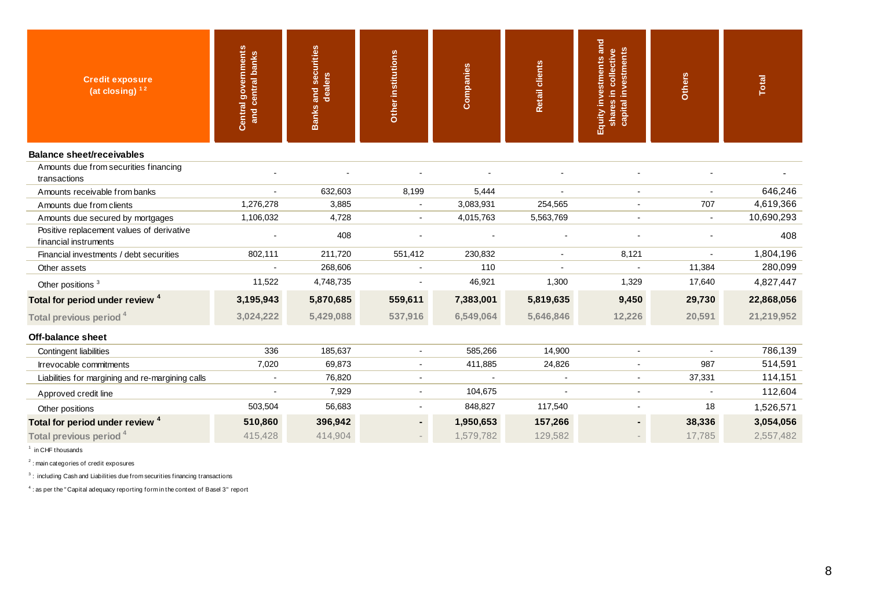| <b>Credit exposure</b><br>$(at closing)^{12}$                      | <b>Central governments</b><br>and central banks | <b>Banks and securities</b><br>dealers | Other institutions | Companies | <b>Retail clients</b> | Equity investments and<br>capital investments<br>shares in collective | Others | Total      |
|--------------------------------------------------------------------|-------------------------------------------------|----------------------------------------|--------------------|-----------|-----------------------|-----------------------------------------------------------------------|--------|------------|
| <b>Balance sheet/receivables</b>                                   |                                                 |                                        |                    |           |                       |                                                                       |        |            |
| Amounts due from securities financing<br>transactions              |                                                 |                                        |                    |           |                       |                                                                       |        |            |
| Amounts receivable from banks                                      |                                                 | 632,603                                | 8,199              | 5,444     |                       |                                                                       |        | 646,246    |
| Amounts due from clients                                           | 1,276,278                                       | 3,885                                  |                    | 3,083,931 | 254,565               |                                                                       | 707    | 4,619,366  |
| Amounts due secured by mortgages                                   | 1,106,032                                       | 4,728                                  |                    | 4,015,763 | 5,563,769             |                                                                       |        | 10,690,293 |
| Positive replacement values of derivative<br>financial instruments |                                                 | 408                                    |                    |           |                       |                                                                       |        | 408        |
| Financial investments / debt securities                            | 802,111                                         | 211,720                                | 551,412            | 230,832   |                       | 8,121                                                                 |        | 1,804,196  |
| Other assets                                                       |                                                 | 268,606                                |                    | 110       |                       |                                                                       | 11,384 | 280,099    |
| Other positions <sup>3</sup>                                       | 11,522                                          | 4,748,735                              |                    | 46,921    | 1,300                 | 1,329                                                                 | 17,640 | 4,827,447  |
| Total for period under review <sup>4</sup>                         | 3,195,943                                       | 5,870,685                              | 559,611            | 7,383,001 | 5,819,635             | 9,450                                                                 | 29,730 | 22,868,056 |
| Total previous period <sup>4</sup>                                 | 3,024,222                                       | 5,429,088                              | 537,916            | 6,549,064 | 5,646,846             | 12,226                                                                | 20,591 | 21,219,952 |
| <b>Off-balance sheet</b>                                           |                                                 |                                        |                    |           |                       |                                                                       |        |            |
| Contingent liabilities                                             | 336                                             | 185,637                                | $\sim$             | 585,266   | 14,900                | $\sim$                                                                | $\sim$ | 786,139    |
| Irrevocable commitments                                            | 7,020                                           | 69,873                                 |                    | 411,885   | 24,826                |                                                                       | 987    | 514,591    |
| Liabilities for margining and re-margining calls                   |                                                 | 76,820                                 |                    |           |                       |                                                                       | 37,331 | 114,151    |
| Approved credit line                                               |                                                 | 7,929                                  | $\blacksquare$     | 104,675   |                       |                                                                       |        | 112,604    |
| Other positions                                                    | 503,504                                         | 56,683                                 | $\blacksquare$     | 848,827   | 117,540               |                                                                       | 18     | 1,526,571  |
| Total for period under review <sup>4</sup>                         | 510,860                                         | 396,942                                | ٠                  | 1,950,653 | 157,266               |                                                                       | 38,336 | 3,054,056  |
| Total previous period <sup>4</sup>                                 | 415,428                                         | 414,904                                |                    | 1,579,782 | 129,582               |                                                                       | 17,785 | 2,557,482  |

1 in CHF thousands

<sup>2</sup>: main categories of credit exposures

 $3$ : including Cash and Liabilities due from securities financing transactions

 $4:$  as per the "Capital adequacy reporting form in the context of Basel 3" report : main categories of credit exposures<br>
: including Cash and Liabilities due from securities financing transactions<br>
: as per the " Capital adequacy reporting form in the context of Basel 3" report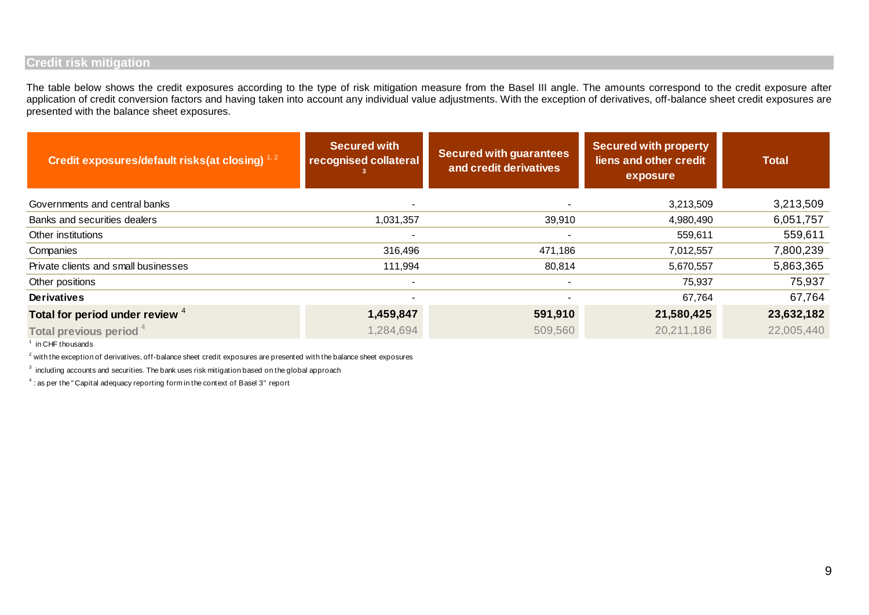#### **Credit risk mitigation**

The table below shows the credit exposures according to the type of risk mitigation measure from the Basel III angle. The amounts correspond to the credit exposure after application of credit conversion factors and having taken into account any individual value adjustments. With the exception of derivatives, off-balance sheet credit exposures are presented with the balance sheet exposures.

| Credit exposures/default risks(at closing) $1,2$                                                                         | <b>Secured with</b><br>recognised collateral | <b>Secured with guarantees</b><br>and credit derivatives | <b>Secured with property</b><br>liens and other credit<br>exposure | <b>Total</b> |  |  |  |
|--------------------------------------------------------------------------------------------------------------------------|----------------------------------------------|----------------------------------------------------------|--------------------------------------------------------------------|--------------|--|--|--|
| Governments and central banks                                                                                            |                                              |                                                          | 3,213,509                                                          | 3,213,509    |  |  |  |
| Banks and securities dealers                                                                                             | 1,031,357                                    | 39,910                                                   | 4,980,490                                                          | 6,051,757    |  |  |  |
| Other institutions                                                                                                       |                                              |                                                          | 559,611                                                            | 559,611      |  |  |  |
| Companies                                                                                                                | 316,496                                      | 471,186                                                  | 7,012,557                                                          | 7,800,239    |  |  |  |
| Private clients and small businesses                                                                                     | 111,994                                      | 80,814                                                   | 5,670,557                                                          | 5,863,365    |  |  |  |
| Other positions                                                                                                          |                                              | $\blacksquare$                                           | 75,937                                                             | 75,937       |  |  |  |
| <b>Derivatives</b>                                                                                                       |                                              |                                                          | 67,764                                                             | 67,764       |  |  |  |
| Total for period under review 4                                                                                          | 1,459,847                                    | 591,910                                                  | 21,580,425                                                         | 23,632,182   |  |  |  |
| Total previous period <sup>4</sup>                                                                                       | 1,284,694                                    | 509,560                                                  | 20,211,186                                                         | 22,005,440   |  |  |  |
| <sup>1</sup> in CHF thousands                                                                                            |                                              |                                                          |                                                                    |              |  |  |  |
| $2$ with the exception of derivatives, off-balance sheet credit exposures are presented with the balance sheet exposures |                                              |                                                          |                                                                    |              |  |  |  |
| $3$ including accounts and securities. The bank uses risk mitigation based on the global approach                        |                                              |                                                          |                                                                    |              |  |  |  |
| $4$ : as per the "Capital adequacy reporting form in the context of Basel 3" report                                      |                                              |                                                          |                                                                    |              |  |  |  |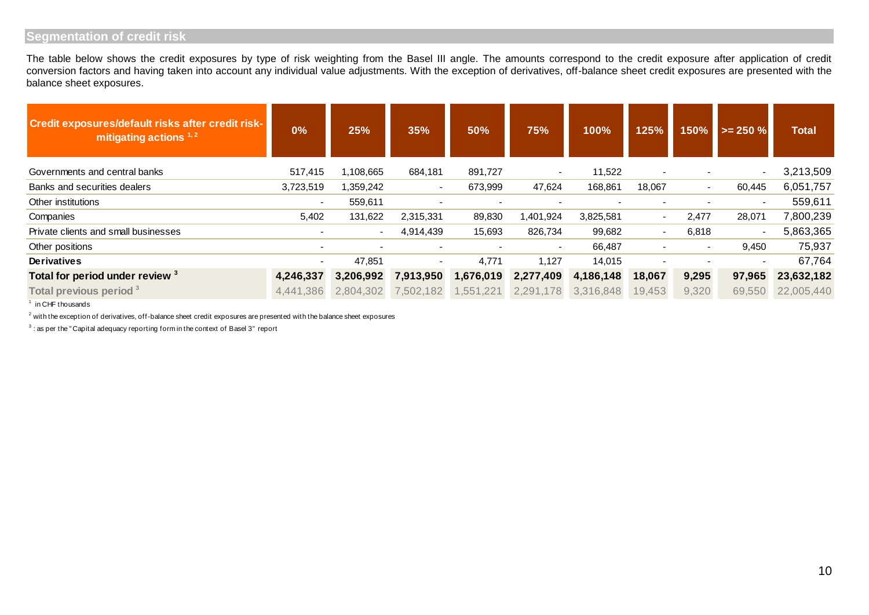### **Segmentation of credit risk**

| Credit exposures/default risks after credit risk-<br>mitigating actions $1, 2$                                            | 0%                       | 25%       | 35%            | 50%       | 75%                      | 100%      | 125%   | 150%   | $\ge$ = 250 % | <b>Total</b> |
|---------------------------------------------------------------------------------------------------------------------------|--------------------------|-----------|----------------|-----------|--------------------------|-----------|--------|--------|---------------|--------------|
| Governments and central banks                                                                                             | 517,415                  | 1,108,665 | 684,181        | 891,727   |                          | 11,522    |        |        |               | 3,213,509    |
| Banks and securities dealers                                                                                              | 3,723,519                | 1,359,242 | $\blacksquare$ | 673,999   | 47,624                   | 168,861   | 18,067 | $\sim$ | 60,445        | 6,051,757    |
| Other institutions                                                                                                        | $\blacksquare$           | 559,611   | $\blacksquare$ |           |                          |           |        |        | $\sim$        | 559,611      |
| Companies                                                                                                                 | 5,402                    | 131,622   | 2,315,331      | 89,830    | 1,401,924                | 3,825,581 | $\sim$ | 2,477  | 28,071        | 7,800,239    |
| Private clients and small businesses                                                                                      |                          |           | 4,914,439      | 15,693    | 826,734                  | 99,682    |        | 6,818  |               | 5,863,365    |
| Other positions                                                                                                           | $\overline{\phantom{0}}$ |           |                |           | $\overline{\phantom{0}}$ | 66,487    |        |        | 9,450         | 75,937       |
| Derivatives                                                                                                               |                          | 47,851    | $\blacksquare$ | 4,771     | 1,127                    | 14,015    |        |        |               | 67,764       |
| Total for period under review 3                                                                                           | 4,246,337                | 3,206,992 | 7,913,950      | 1,676,019 | 2,277,409                | 4,186,148 | 18,067 | 9,295  | 97,965        | 23,632,182   |
| Total previous period <sup>3</sup>                                                                                        | 4,441,386                | 2,804,302 | 7,502,182      | 1,551,221 | 2,291,178                | 3,316,848 | 19,453 | 9,320  | 69,550        | 22,005,440   |
| in CHF thousands                                                                                                          |                          |           |                |           |                          |           |        |        |               |              |
| $^2$ with the exception of derivatives, off-balance sheet credit exposures are presented with the balance sheet exposures |                          |           |                |           |                          |           |        |        |               |              |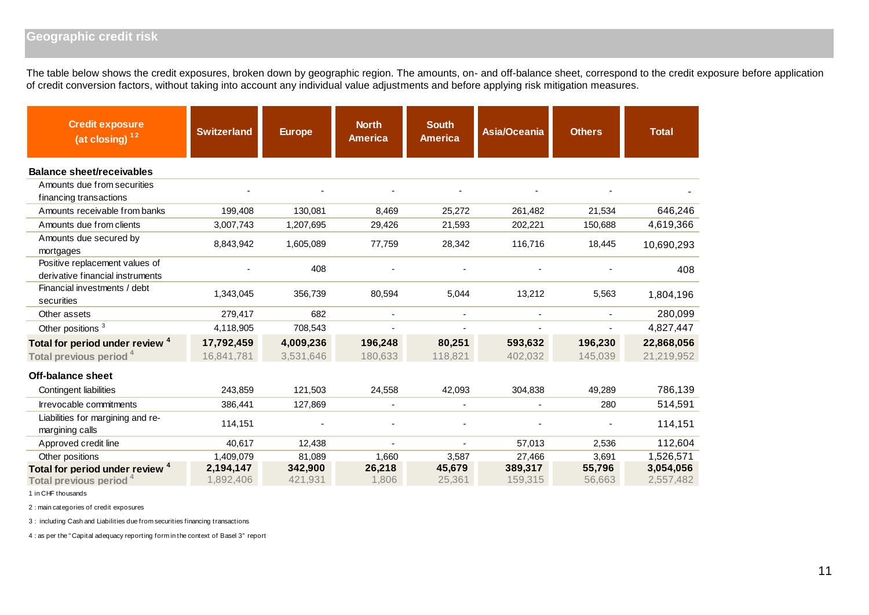### **Geographic credit risk**

The table below shows the credit exposures, broken down by geographic region. The amounts, on- and off-balance sheet, correspond to the credit exposure before application of credit conversion factors, without taking into account any individual value adjustments and before applying risk mitigation measures.

| <b>Credit exposure</b><br>(a <sup>t</sup> closing) <sup>12</sup>                 | <b>Switzerland</b>       | <b>Europe</b>          | <b>North</b><br><b>America</b> | <b>South</b><br><b>America</b> | <b>Asia/Oceania</b> | <b>Others</b>      | <b>Total</b>             |
|----------------------------------------------------------------------------------|--------------------------|------------------------|--------------------------------|--------------------------------|---------------------|--------------------|--------------------------|
| <b>Balance sheet/receivables</b>                                                 |                          |                        |                                |                                |                     |                    |                          |
| Amounts due from securities<br>financing transactions                            |                          |                        |                                |                                |                     |                    |                          |
| Amounts receivable from banks                                                    | 199,408                  | 130,081                | 8,469                          | 25,272                         | 261,482             | 21,534             | 646,246                  |
| Amounts due from clients                                                         | 3,007,743                | 1,207,695              | 29,426                         | 21,593                         | 202,221             | 150,688            | 4,619,366                |
| Amounts due secured by<br>mortgages                                              | 8,843,942                | 1,605,089              | 77,759                         | 28,342                         | 116,716             | 18,445             | 10,690,293               |
| Positive replacement values of<br>derivative financial instruments               |                          | 408                    |                                |                                |                     |                    | 408                      |
| Financial investments / debt<br>securities                                       | 1,343,045                | 356,739                | 80,594                         | 5,044                          | 13,212              | 5,563              | 1,804,196                |
| Other assets                                                                     | 279,417                  | 682                    |                                |                                |                     |                    | 280,099                  |
| Other positions <sup>3</sup>                                                     | 4,118,905                | 708,543                |                                |                                |                     |                    | 4,827,447                |
| Total for period under review <sup>4</sup><br>Total previous period <sup>4</sup> | 17,792,459<br>16,841,781 | 4,009,236<br>3,531,646 | 196,248<br>180,633             | 80,251<br>118,821              | 593,632<br>402,032  | 196,230<br>145,039 | 22,868,056<br>21,219,952 |
| Off-balance sheet                                                                |                          |                        |                                |                                |                     |                    |                          |
| Contingent liabilities                                                           | 243,859                  | 121,503                | 24,558                         | 42,093                         | 304,838             | 49,289             | 786,139                  |
| Irrevocable commitments                                                          | 386,441                  | 127,869                |                                |                                |                     | 280                | 514,591                  |
| Liabilities for margining and re-<br>margining calls                             | 114,151                  |                        |                                |                                |                     |                    | 114,151                  |
| Approved credit line                                                             | 40,617                   | 12,438                 | ÷                              | $\overline{\phantom{a}}$       | 57,013              | 2,536              | 112,604                  |
| Other positions                                                                  | 1,409,079                | 81,089                 | 1,660                          | 3,587                          | 27,466              | 3,691              | 1,526,571                |
| Total for period under review <sup>4</sup><br>Total previous period <sup>4</sup> | 2,194,147<br>1,892,406   | 342,900<br>421,931     | 26,218<br>1,806                | 45,679<br>25,361               | 389,317<br>159,315  | 55,796<br>56,663   | 3,054,056<br>2,557,482   |

1 in CHF thousands

2 : main categories of credit exposures

3 : including Cash and Liabilities due from securities financing transactions

4 : as per the " Capital adequacy reporting form in the context of Basel 3" report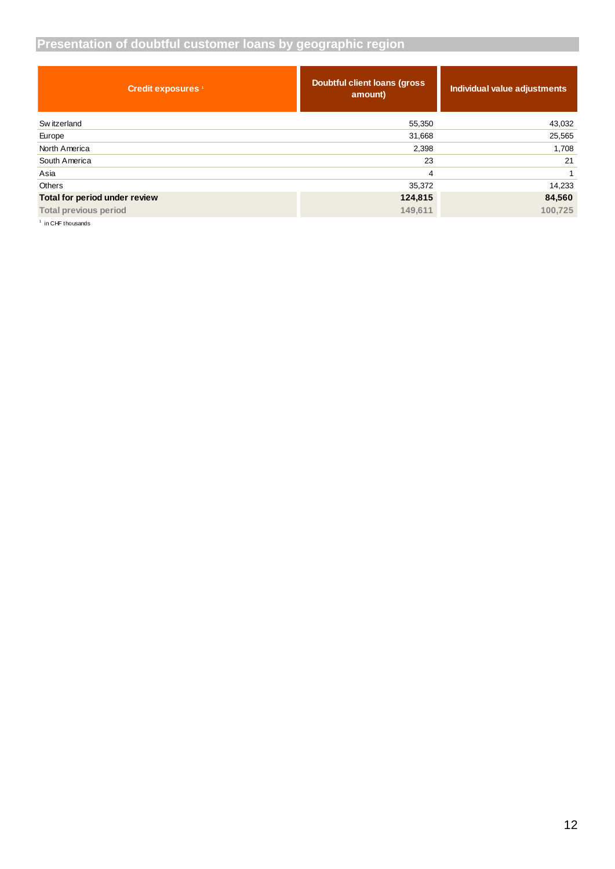### **Presentation of doubtful customer loans by geographic region**

| <b>Credit exposures</b> <sup>1</sup>             | Doubtful client loans (gross<br>amount) | Individual value adjustments |
|--------------------------------------------------|-----------------------------------------|------------------------------|
| Sw itzerland                                     | 55,350                                  | 43,032                       |
| Europe                                           | 31,668                                  | 25,565                       |
| North America                                    | 2,398                                   | 1,708                        |
| South America                                    | 23                                      | 21                           |
| Asia                                             | 4                                       | 1                            |
| Others                                           | 35,372                                  | 14,233                       |
| Total for period under review                    | 124,815                                 | 84,560                       |
| <b>Total previous period</b>                     | 149,611                                 | 100,725                      |
| $1.5$ and $\sim$ 0.000 at the contract of $\sim$ |                                         |                              |

in CHF thousands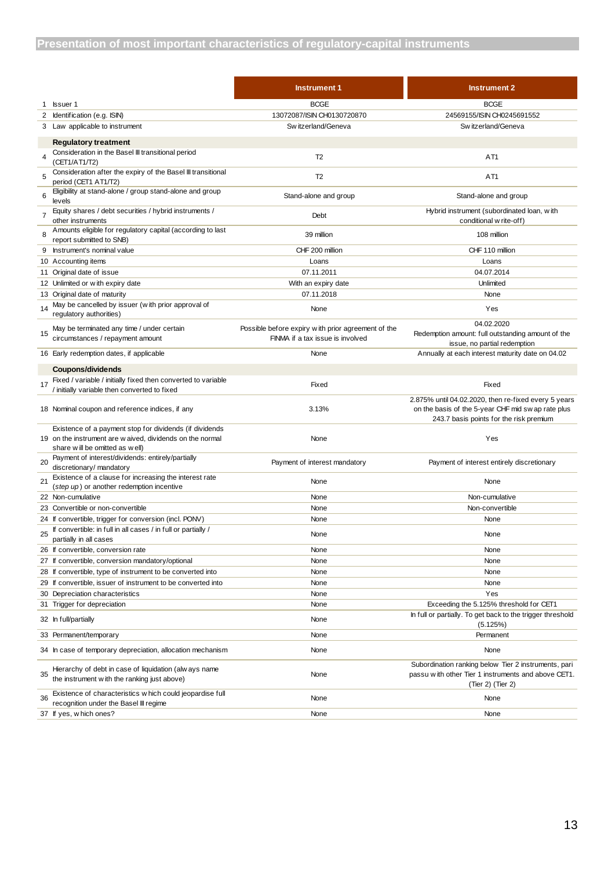|    |                                                                                                                                                        | <b>Instrument 1</b>                                                                    | <b>Instrument 2</b>                                                                                                              |
|----|--------------------------------------------------------------------------------------------------------------------------------------------------------|----------------------------------------------------------------------------------------|----------------------------------------------------------------------------------------------------------------------------------|
|    | 1 <b>Issuer 1</b>                                                                                                                                      | <b>BCGE</b>                                                                            | <b>BCGE</b>                                                                                                                      |
| 2  | Identification (e.g. ISIN)                                                                                                                             | 13072087/ISIN CH0130720870                                                             | 24569155/ISIN CH0245691552                                                                                                       |
| 3  | Law applicable to instrument                                                                                                                           | Switzerland/Geneva                                                                     | Sw itzerland/Geneva                                                                                                              |
|    | <b>Regulatory treatment</b>                                                                                                                            |                                                                                        |                                                                                                                                  |
|    | Consideration in the Basel III transitional period<br>(CET1/AT1/T2)                                                                                    | T <sub>2</sub>                                                                         | AT <sub>1</sub>                                                                                                                  |
| 5  | Consideration after the expiry of the Basel III transitional<br>period (CET1 AT1/T2)                                                                   | T <sub>2</sub>                                                                         | AT <sub>1</sub>                                                                                                                  |
| 6  | Eligibility at stand-alone / group stand-alone and group<br>levels                                                                                     | Stand-alone and group                                                                  | Stand-alone and group                                                                                                            |
|    | Equity shares / debt securities / hybrid instruments /<br>other instruments                                                                            | Debt                                                                                   | Hybrid instrument (subordinated loan, with<br>conditional w rite-off)                                                            |
| 8  | Amounts eligible for regulatory capital (according to last<br>report submitted to SNB)                                                                 | 39 million                                                                             | 108 million                                                                                                                      |
|    | 9 Instrument's nominal value                                                                                                                           | CHF 200 million                                                                        | CHF 110 million                                                                                                                  |
|    | 10 Accounting items                                                                                                                                    | Loans                                                                                  | Loans                                                                                                                            |
|    | 11 Original date of issue                                                                                                                              | 07.11.2011                                                                             | 04.07.2014                                                                                                                       |
|    | 12 Unlimited or with expiry date                                                                                                                       | With an expiry date                                                                    | Unlimited                                                                                                                        |
|    | 13 Original date of maturity                                                                                                                           | 07.11.2018                                                                             | None                                                                                                                             |
| 14 | May be cancelled by issuer (with prior approval of<br>requlatory authorities)                                                                          | None                                                                                   | Yes                                                                                                                              |
| 15 | May be terminated any time / under certain<br>circumstances / repayment amount                                                                         | Possible before expiry with prior agreement of the<br>FINMA if a tax issue is involved | 04.02.2020<br>Redemption amount: full outstanding amount of the<br>issue, no partial redemption                                  |
|    | 16 Early redemption dates, if applicable                                                                                                               | None                                                                                   | Annually at each interest maturity date on 04.02                                                                                 |
| 17 | Coupons/dividends<br>Fixed / variable / initially fixed then converted to variable                                                                     | Fixed                                                                                  | Fixed                                                                                                                            |
|    | / initially variable then converted to fixed                                                                                                           |                                                                                        | 2.875% until 04.02.2020, then re-fixed every 5 years                                                                             |
|    | 18 Nominal coupon and reference indices, if any                                                                                                        | 3.13%                                                                                  | on the basis of the 5-year CHF mid sw ap rate plus<br>243.7 basis points for the risk premium                                    |
|    | Existence of a payment stop for dividends (if dividends<br>19 on the instrument are w aived, dividends on the normal<br>share will be omitted as well) | None                                                                                   | Yes                                                                                                                              |
| 20 | Payment of interest/dividends: entirely/partially<br>discretionary/ mandatory                                                                          | Payment of interest mandatory                                                          | Payment of interest entirely discretionary                                                                                       |
| 21 | Existence of a clause for increasing the interest rate<br>(step up) or another redemption incentive                                                    | None                                                                                   | None                                                                                                                             |
|    | 22 Non-cumulative                                                                                                                                      | None                                                                                   | Non-cumulative                                                                                                                   |
|    | 23 Convertible or non-convertible                                                                                                                      | None                                                                                   | Non-convertible                                                                                                                  |
|    | 24 If convertible, trigger for conversion (incl. PONV)                                                                                                 | None                                                                                   | None                                                                                                                             |
| 25 | If convertible: in full in all cases / in full or partially /<br>partially in all cases                                                                | None                                                                                   | None                                                                                                                             |
|    | 26 If convertible, conversion rate                                                                                                                     | None                                                                                   | None                                                                                                                             |
|    | 27 If convertible, conversion mandatory/optional                                                                                                       | None                                                                                   | None                                                                                                                             |
|    | 28 If convertible, type of instrument to be converted into                                                                                             | None                                                                                   | None                                                                                                                             |
|    | 29 If convertible, issuer of instrument to be converted into                                                                                           | None                                                                                   | None                                                                                                                             |
|    | 30 Depreciation characteristics                                                                                                                        | None                                                                                   | Yes                                                                                                                              |
|    | 31 Trigger for depreciation                                                                                                                            | None                                                                                   | Exceeding the 5.125% threshold for CET1                                                                                          |
|    | 32 In full/partially                                                                                                                                   | None                                                                                   | In full or partially. To get back to the trigger threshold<br>(5.125%)                                                           |
|    | 33 Permanent/temporary                                                                                                                                 | None                                                                                   | Permanent                                                                                                                        |
|    | 34 In case of temporary depreciation, allocation mechanism                                                                                             | None                                                                                   | None                                                                                                                             |
| 35 | Hierarchy of debt in case of liquidation (alw ays name<br>the instrument with the ranking just above)                                                  | None                                                                                   | Subordination ranking below Tier 2 instruments, pari<br>passu with other Tier 1 instruments and above CET1.<br>(Tier 2) (Tier 2) |
| 36 | Existence of characteristics w hich could jeopardise full<br>recognition under the Basel III regime                                                    | None                                                                                   | None                                                                                                                             |
|    | 37 If yes, which ones?                                                                                                                                 | None                                                                                   | None                                                                                                                             |
|    |                                                                                                                                                        |                                                                                        |                                                                                                                                  |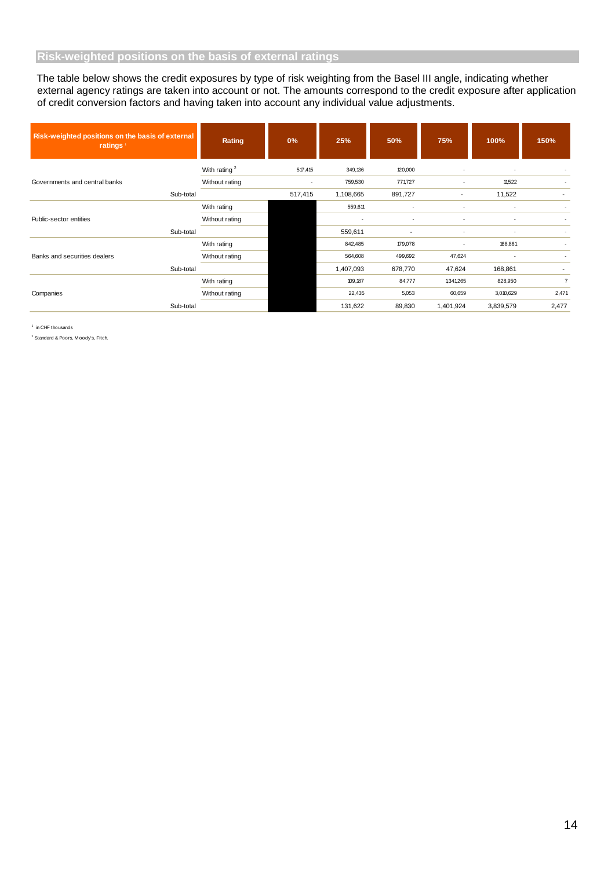The table below shows the credit exposures by type of risk weighting from the Basel III angle, indicating whether external agency ratings are taken into account or not. The amounts correspond to the credit exposure after application of credit conversion factors and having taken into account any individual value adjustments.

| Risk-weighted positions on the basis of external<br>ratings <sup>1</sup> |           | Rating               | 0%      | 25%       | 50%     | 75%       | 100%      | 150%           |
|--------------------------------------------------------------------------|-----------|----------------------|---------|-----------|---------|-----------|-----------|----------------|
|                                                                          |           | With rating $2$      | 517,415 | 349,136   | 120,000 |           |           |                |
| Governments and central banks                                            |           | Without rating       |         | 759,530   | 771,727 |           | 11,522    |                |
| Sub-total                                                                |           |                      | 517,415 | 1,108,665 | 891,727 |           | 11,522    |                |
|                                                                          |           | With rating          |         | 559,611   |         |           |           | ٠              |
| Public-sector entities                                                   |           | Without rating       |         |           |         |           |           |                |
|                                                                          | Sub-total |                      |         | 559,611   |         |           |           |                |
|                                                                          |           | With rating          |         | 842,485   | 179,078 |           | 168,861   |                |
| Banks and securities dealers                                             |           | Without rating       |         | 564,608   | 499,692 | 47,624    |           | ٠              |
|                                                                          | Sub-total | 1,407,093<br>678,770 |         | 47,624    | 168,861 |           |           |                |
|                                                                          |           | With rating          |         | 109,187   | 84,777  | 1,341,265 | 828,950   | $\overline{7}$ |
| Companies                                                                |           | Without rating       |         | 22,435    | 5,053   | 60,659    | 3,010,629 | 2,471          |
|                                                                          | Sub-total |                      |         | 131,622   | 89,830  | 1,401,924 | 3,839,579 | 2,477          |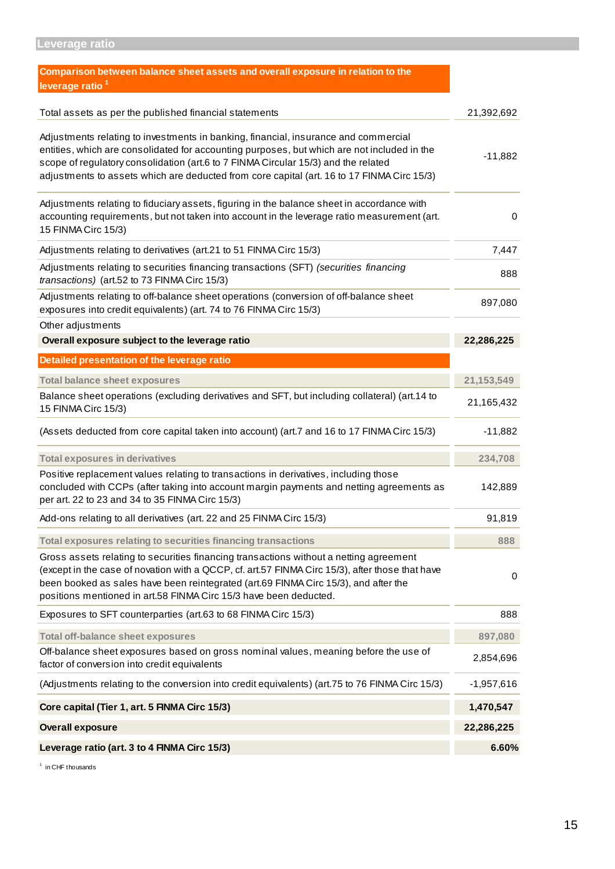| Comparison between balance sheet assets and overall exposure in relation to the                                                                                                                                                                                                                                                                                        |              |
|------------------------------------------------------------------------------------------------------------------------------------------------------------------------------------------------------------------------------------------------------------------------------------------------------------------------------------------------------------------------|--------------|
| leverage ratio <sup>1</sup>                                                                                                                                                                                                                                                                                                                                            |              |
| Total assets as per the published financial statements                                                                                                                                                                                                                                                                                                                 | 21,392,692   |
| Adjustments relating to investments in banking, financial, insurance and commercial<br>entities, which are consolidated for accounting purposes, but which are not included in the<br>scope of regulatory consolidation (art.6 to 7 FINMA Circular 15/3) and the related<br>adjustments to assets which are deducted from core capital (art. 16 to 17 FINMA Circ 15/3) | $-11,882$    |
| Adjustments relating to fiduciary assets, figuring in the balance sheet in accordance with<br>accounting requirements, but not taken into account in the leverage ratio measurement (art.<br>15 FINMA Circ 15/3)                                                                                                                                                       | 0            |
| Adjustments relating to derivatives (art.21 to 51 FINMA Circ 15/3)                                                                                                                                                                                                                                                                                                     | 7,447        |
| Adjustments relating to securities financing transactions (SFT) (securities financing<br>transactions) (art.52 to 73 FINMA Circ 15/3)                                                                                                                                                                                                                                  | 888          |
| Adjustments relating to off-balance sheet operations (conversion of off-balance sheet<br>exposures into credit equivalents) (art. 74 to 76 FINMA Circ 15/3)                                                                                                                                                                                                            | 897,080      |
| Other adjustments                                                                                                                                                                                                                                                                                                                                                      |              |
| Overall exposure subject to the leverage ratio                                                                                                                                                                                                                                                                                                                         | 22,286,225   |
| Detailed presentation of the leverage ratio                                                                                                                                                                                                                                                                                                                            |              |
| <b>Total balance sheet exposures</b>                                                                                                                                                                                                                                                                                                                                   | 21, 153, 549 |
| Balance sheet operations (excluding derivatives and SFT, but including collateral) (art.14 to<br>15 FINMA Circ 15/3)                                                                                                                                                                                                                                                   | 21,165,432   |
| (Assets deducted from core capital taken into account) (art.7 and 16 to 17 FINMA Circ 15/3)                                                                                                                                                                                                                                                                            | $-11,882$    |
| <b>Total exposures in derivatives</b>                                                                                                                                                                                                                                                                                                                                  | 234,708      |
| Positive replacement values relating to transactions in derivatives, including those<br>concluded with CCPs (after taking into account margin payments and netting agreements as<br>per art. 22 to 23 and 34 to 35 FINMA Circ 15/3)                                                                                                                                    | 142,889      |
| Add-ons relating to all derivatives (art. 22 and 25 FINMA Circ 15/3)                                                                                                                                                                                                                                                                                                   | 91,819       |
| Total exposures relating to securities financing transactions                                                                                                                                                                                                                                                                                                          | 888          |
| Gross assets relating to securities financing transactions without a netting agreement<br>(except in the case of novation with a QCCP, cf. art.57 FINMA Circ 15/3), after those that have<br>been booked as sales have been reintegrated (art.69 FINMA Circ 15/3), and after the<br>positions mentioned in art.58 FINMA Circ 15/3 have been deducted.                  | 0            |
| Exposures to SFT counterparties (art.63 to 68 FINMA Circ 15/3)                                                                                                                                                                                                                                                                                                         | 888          |
| <b>Total off-balance sheet exposures</b>                                                                                                                                                                                                                                                                                                                               | 897,080      |
| Off-balance sheet exposures based on gross nominal values, meaning before the use of<br>factor of conversion into credit equivalents                                                                                                                                                                                                                                   | 2,854,696    |
| (Adjustments relating to the conversion into credit equivalents) (art.75 to 76 FINMA Circ 15/3)                                                                                                                                                                                                                                                                        | $-1,957,616$ |
| Core capital (Tier 1, art. 5 FINMA Circ 15/3)                                                                                                                                                                                                                                                                                                                          | 1,470,547    |
| <b>Overall exposure</b>                                                                                                                                                                                                                                                                                                                                                | 22,286,225   |
| Leverage ratio (art. 3 to 4 FINMA Circ 15/3)                                                                                                                                                                                                                                                                                                                           | 6.60%        |

<sup>1</sup> in CHF thousands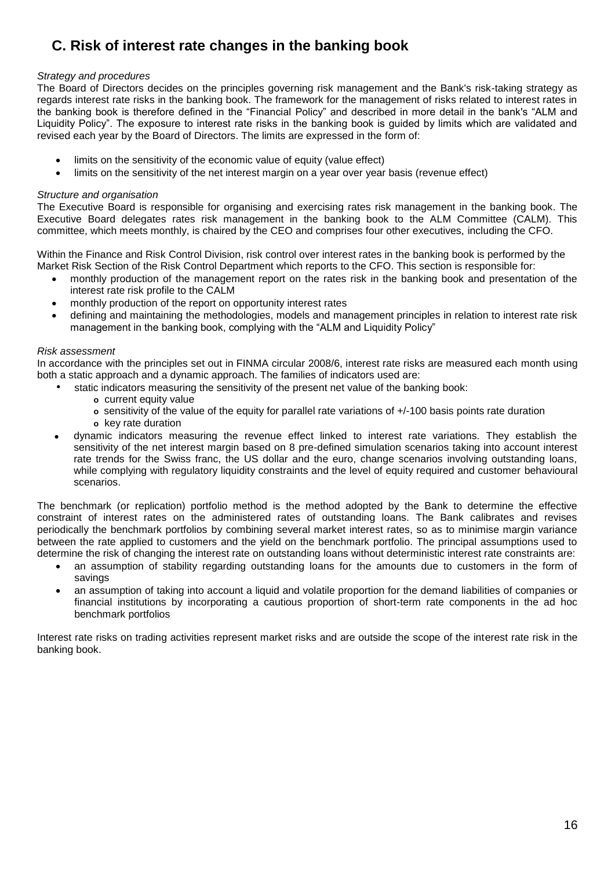## **C. Risk of interest rate changes in the banking book**

#### *Strategy and procedures*

The Board of Directors decides on the principles governing risk management and the Bank's risk-taking strategy as regards interest rate risks in the banking book. The framework for the management of risks related to interest rates in the banking book is therefore defined in the "Financial Policy" and described in more detail in the bank's "ALM and Liquidity Policy". The exposure to interest rate risks in the banking book is guided by limits which are validated and revised each year by the Board of Directors. The limits are expressed in the form of:

- limits on the sensitivity of the economic value of equity (value effect)
- limits on the sensitivity of the net interest margin on a year over year basis (revenue effect)

#### *Structure and organisation*

The Executive Board is responsible for organising and exercising rates risk management in the banking book. The Executive Board delegates rates risk management in the banking book to the ALM Committee (CALM). This committee, which meets monthly, is chaired by the CEO and comprises four other executives, including the CFO.

Within the Finance and Risk Control Division, risk control over interest rates in the banking book is performed by the Market Risk Section of the Risk Control Department which reports to the CFO. This section is responsible for:

- monthly production of the management report on the rates risk in the banking book and presentation of the interest rate risk profile to the CALM
- monthly production of the report on opportunity interest rates
- defining and maintaining the methodologies, models and management principles in relation to interest rate risk management in the banking book, complying with the "ALM and Liquidity Policy"

#### *Risk assessment*

In accordance with the principles set out in FINMA circular 2008/6, interest rate risks are measured each month using both a static approach and a dynamic approach. The families of indicators used are:

- static indicators measuring the sensitivity of the present net value of the banking book:
	- **o** current equity value
	- **o** sensitivity of the value of the equity for parallel rate variations of +/-100 basis points rate duration
	- **o** key rate duration
- dynamic indicators measuring the revenue effect linked to interest rate variations. They establish the sensitivity of the net interest margin based on 8 pre-defined simulation scenarios taking into account interest rate trends for the Swiss franc, the US dollar and the euro, change scenarios involving outstanding loans, while complying with regulatory liquidity constraints and the level of equity required and customer behavioural scenarios.

The benchmark (or replication) portfolio method is the method adopted by the Bank to determine the effective constraint of interest rates on the administered rates of outstanding loans. The Bank calibrates and revises periodically the benchmark portfolios by combining several market interest rates, so as to minimise margin variance between the rate applied to customers and the yield on the benchmark portfolio. The principal assumptions used to determine the risk of changing the interest rate on outstanding loans without deterministic interest rate constraints are:

- an assumption of stability regarding outstanding loans for the amounts due to customers in the form of savings
- an assumption of taking into account a liquid and volatile proportion for the demand liabilities of companies or financial institutions by incorporating a cautious proportion of short-term rate components in the ad hoc benchmark portfolios

Interest rate risks on trading activities represent market risks and are outside the scope of the interest rate risk in the banking book.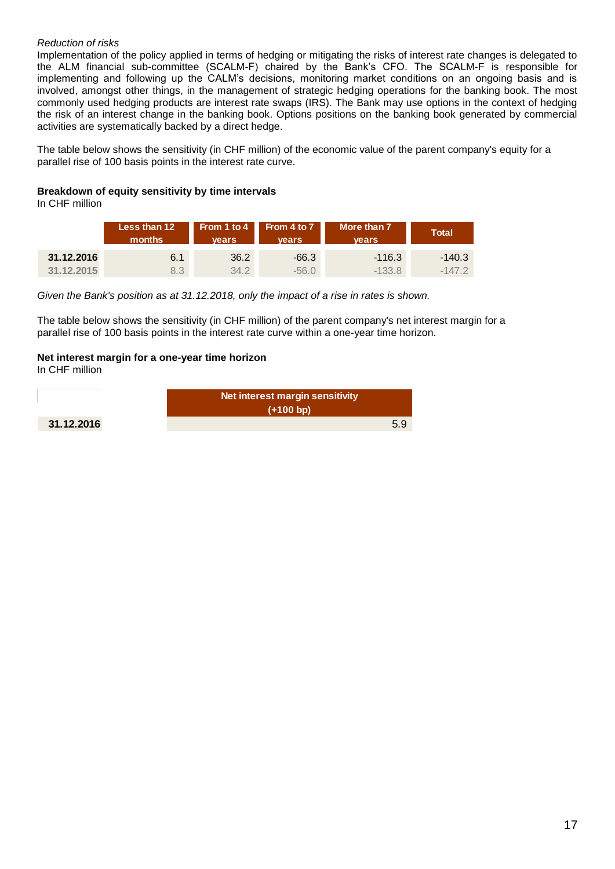#### *Reduction of risks*

Implementation of the policy applied in terms of hedging or mitigating the risks of interest rate changes is delegated to the ALM financial sub-committee (SCALM-F) chaired by the Bank's CFO. The SCALM-F is responsible for implementing and following up the CALM's decisions, monitoring market conditions on an ongoing basis and is involved, amongst other things, in the management of strategic hedging operations for the banking book. The most commonly used hedging products are interest rate swaps (IRS). The Bank may use options in the context of hedging the risk of an interest change in the banking book. Options positions on the banking book generated by commercial activities are systematically backed by a direct hedge.

The table below shows the sensitivity (in CHF million) of the economic value of the parent company's equity for a parallel rise of 100 basis points in the interest rate curve.

#### **Breakdown of equity sensitivity by time intervals**

In CHF million

|            | Less than 12<br>months | vears. | From 1 to 4 From 4 to 7<br><b>vears</b> | More than 7<br><b>vears</b> | <b>Total</b> |  |
|------------|------------------------|--------|-----------------------------------------|-----------------------------|--------------|--|
| 31.12.2016 | 6.1                    | 36.2   | $-66.3$                                 | $-116.3$                    | $-140.3$     |  |
| 31.12.2015 | 8.3                    | 34.2   | -56 0                                   | $-133.8$                    | $-147.2$     |  |

*Given the Bank's position as at 31.12.2018, only the impact of a rise in rates is shown.*

The table below shows the sensitivity (in CHF million) of the parent company's net interest margin for a parallel rise of 100 basis points in the interest rate curve within a one-year time horizon.

#### **Net interest margin for a one-year time horizon**

In CHF million

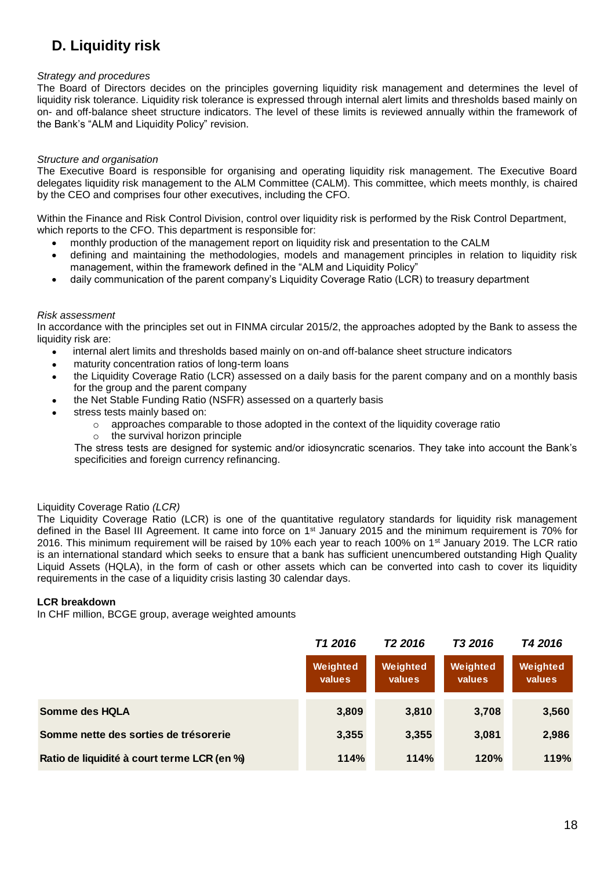## **D. Liquidity risk**

#### *Strategy and procedures*

The Board of Directors decides on the principles governing liquidity risk management and determines the level of liquidity risk tolerance. Liquidity risk tolerance is expressed through internal alert limits and thresholds based mainly on on- and off-balance sheet structure indicators. The level of these limits is reviewed annually within the framework of the Bank's "ALM and Liquidity Policy" revision.

#### *Structure and organisation*

The Executive Board is responsible for organising and operating liquidity risk management. The Executive Board delegates liquidity risk management to the ALM Committee (CALM). This committee, which meets monthly, is chaired by the CEO and comprises four other executives, including the CFO.

Within the Finance and Risk Control Division, control over liquidity risk is performed by the Risk Control Department, which reports to the CFO. This department is responsible for:

- monthly production of the management report on liquidity risk and presentation to the CALM
- defining and maintaining the methodologies, models and management principles in relation to liquidity risk management, within the framework defined in the "ALM and Liquidity Policy"
- daily communication of the parent company's Liquidity Coverage Ratio (LCR) to treasury department

#### *Risk assessment*

In accordance with the principles set out in FINMA circular 2015/2, the approaches adopted by the Bank to assess the liquidity risk are:

- internal alert limits and thresholds based mainly on on-and off-balance sheet structure indicators
- maturity concentration ratios of long-term loans
- the Liquidity Coverage Ratio (LCR) assessed on a daily basis for the parent company and on a monthly basis for the group and the parent company
	- the Net Stable Funding Ratio (NSFR) assessed on a quarterly basis
- stress tests mainly based on:
	- $\circ$  approaches comparable to those adopted in the context of the liquidity coverage ratio
	- o the survival horizon principle

The stress tests are designed for systemic and/or idiosyncratic scenarios. They take into account the Bank's specificities and foreign currency refinancing.

#### Liquidity Coverage Ratio *(LCR)*

The Liquidity Coverage Ratio (LCR) is one of the quantitative regulatory standards for liquidity risk management defined in the Basel III Agreement. It came into force on 1<sup>st</sup> January 2015 and the minimum requirement is 70% for 2016. This minimum requirement will be raised by 10% each year to reach 100% on 1<sup>st</sup> January 2019. The LCR ratio is an international standard which seeks to ensure that a bank has sufficient unencumbered outstanding High Quality Liquid Assets (HQLA), in the form of cash or other assets which can be converted into cash to cover its liquidity requirements in the case of a liquidity crisis lasting 30 calendar days.

#### **LCR breakdown**

In CHF million, BCGE group, average weighted amounts

|                                             | T <sub>1</sub> 2016 | T <sub>2</sub> 2016 | T3 2016            | T4 2016            |  |
|---------------------------------------------|---------------------|---------------------|--------------------|--------------------|--|
|                                             | Weighted<br>values  | Weighted<br>values  | Weighted<br>values | Weighted<br>values |  |
| Somme des HQLA                              | 3,809               | 3,810               | 3,708              | 3,560              |  |
| Somme nette des sorties de trésorerie       | 3,355               | 3,355               | 3,081              | 2,986              |  |
| Ratio de liquidité à court terme LCR (en %) | 114%                | 114%                | 120%               | 119%               |  |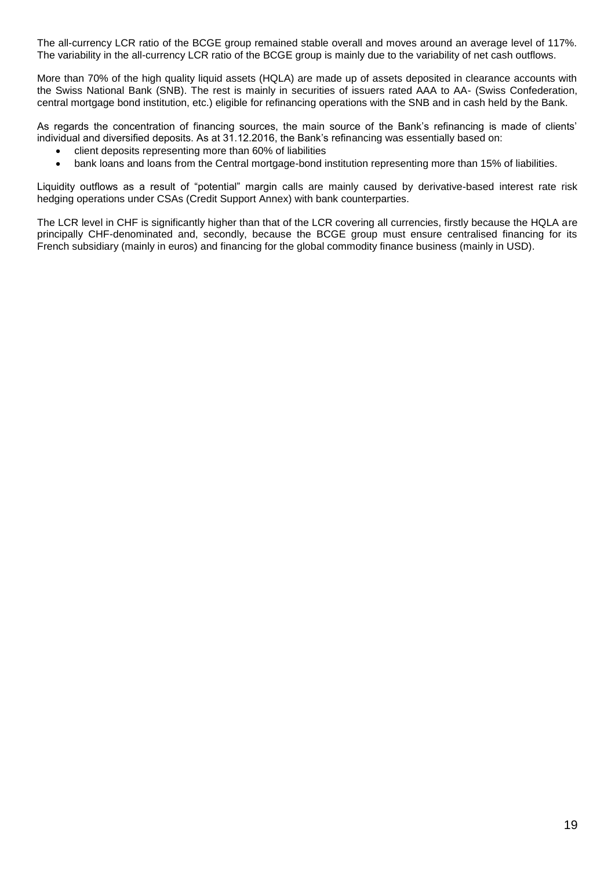The all-currency LCR ratio of the BCGE group remained stable overall and moves around an average level of 117%. The variability in the all-currency LCR ratio of the BCGE group is mainly due to the variability of net cash outflows.

More than 70% of the high quality liquid assets (HQLA) are made up of assets deposited in clearance accounts with the Swiss National Bank (SNB). The rest is mainly in securities of issuers rated AAA to AA- (Swiss Confederation, central mortgage bond institution, etc.) eligible for refinancing operations with the SNB and in cash held by the Bank.

As regards the concentration of financing sources, the main source of the Bank's refinancing is made of clients' individual and diversified deposits. As at 31.12.2016, the Bank's refinancing was essentially based on:

- client deposits representing more than 60% of liabilities
- bank loans and loans from the Central mortgage-bond institution representing more than 15% of liabilities.

Liquidity outflows as a result of "potential" margin calls are mainly caused by derivative-based interest rate risk hedging operations under CSAs (Credit Support Annex) with bank counterparties.

The LCR level in CHF is significantly higher than that of the LCR covering all currencies, firstly because the HQLA are principally CHF-denominated and, secondly, because the BCGE group must ensure centralised financing for its French subsidiary (mainly in euros) and financing for the global commodity finance business (mainly in USD).